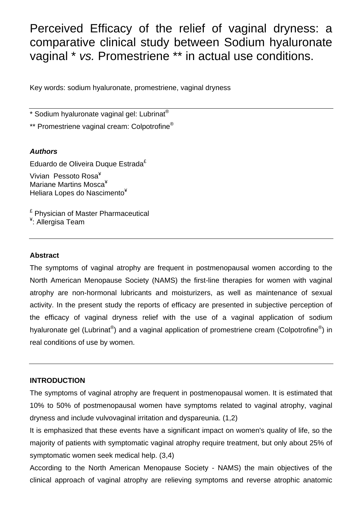# Perceived Efficacy of the relief of vaginal dryness: a comparative clinical study between Sodium hyaluronate vaginal \* *vs.* Promestriene \*\* in actual use conditions.

Key words: sodium hyaluronate, promestriene, vaginal dryness

\* Sodium hyaluronate vaginal gel: Lubrinat®

\*\* Promestriene vaginal cream: Colpotrofine<sup>®</sup>

#### *Authors*

Eduardo de Oliveira Duque Estrada<sup>£</sup>

Vivian Pessoto Rosa<sup>¥</sup> Mariane Martins Mosca<sup>¥</sup> Heliara Lopes do Nascimento<sup>\*</sup>

 $f$  Physician of Master Pharmaceutical ¥ : Allergisa Team

#### **Abstract**

The symptoms of vaginal atrophy are frequent in postmenopausal women according to the North American Menopause Society (NAMS) the first-line therapies for women with vaginal atrophy are non-hormonal lubricants and moisturizers, as well as maintenance of sexual activity. In the present study the reports of efficacy are presented in subjective perception of the efficacy of vaginal dryness relief with the use of a vaginal application of sodium hyaluronate gel (Lubrinat®) and a vaginal application of promestriene cream (Colpotrofine®) in real conditions of use by women.

### **INTRODUCTION**

The symptoms of vaginal atrophy are frequent in postmenopausal women. It is estimated that 10% to 50% of postmenopausal women have symptoms related to vaginal atrophy, vaginal dryness and include vulvovaginal irritation and dyspareunia. (1,2)

It is emphasized that these events have a significant impact on women's quality of life, so the majority of patients with symptomatic vaginal atrophy require treatment, but only about 25% of symptomatic women seek medical help. (3,4)

According to the North American Menopause Society - NAMS) the main objectives of the clinical approach of vaginal atrophy are relieving symptoms and reverse atrophic anatomic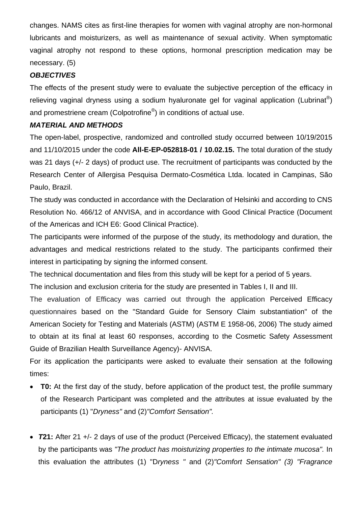changes. NAMS cites as first-line therapies for women with vaginal atrophy are non-hormonal lubricants and moisturizers, as well as maintenance of sexual activity. When symptomatic vaginal atrophy not respond to these options, hormonal prescription medication may be necessary. (5)

## *OBJECTIVES*

The effects of the present study were to evaluate the subjective perception of the efficacy in relieving vaginal dryness using a sodium hyaluronate gel for vaginal application (Lubrinat $^{\circledR}$ ) and promestriene cream (Colpotrofine $^{\circledR})$  in conditions of actual use.

## *MATERIAL AND METHODS*

The open-label, prospective, randomized and controlled study occurred between 10/19/2015 and 11/10/2015 under the code **All-E-EP-052818-01 / 10.02.15.** The total duration of the study was 21 days (+/- 2 days) of product use. The recruitment of participants was conducted by the Research Center of Allergisa Pesquisa Dermato-Cosmética Ltda. located in Campinas, São Paulo, Brazil.

The study was conducted in accordance with the Declaration of Helsinki and according to CNS Resolution No. 466/12 of ANVISA, and in accordance with Good Clinical Practice (Document of the Americas and ICH E6: Good Clinical Practice).

The participants were informed of the purpose of the study, its methodology and duration, the advantages and medical restrictions related to the study. The participants confirmed their interest in participating by signing the informed consent.

The technical documentation and files from this study will be kept for a period of 5 years.

The inclusion and exclusion criteria for the study are presented in Tables I, II and III.

The evaluation of Efficacy was carried out through the application Perceived Efficacy questionnaires based on the "Standard Guide for Sensory Claim substantiation" of the American Society for Testing and Materials (ASTM) (ASTM E 1958-06, 2006) The study aimed to obtain at its final at least 60 responses, according to the Cosmetic Safety Assessment Guide of Brazilian Health Surveillance Agency)- ANVISA.

For its application the participants were asked to evaluate their sensation at the following times:

- **T0:** At the first day of the study, before application of the product test, the profile summary of the Research Participant was completed and the attributes at issue evaluated by the participants (1) "*Dryness"* and (2)*"Comfort Sensation".*
- **T21:** After 21 +/- 2 days of use of the product (Perceived Efficacy), the statement evaluated by the participants was *"The product has moisturizing properties to the intimate mucosa".* In this evaluation the attributes (1) "D*ryness "* and (2)*"Comfort Sensation" (3) "Fragrance*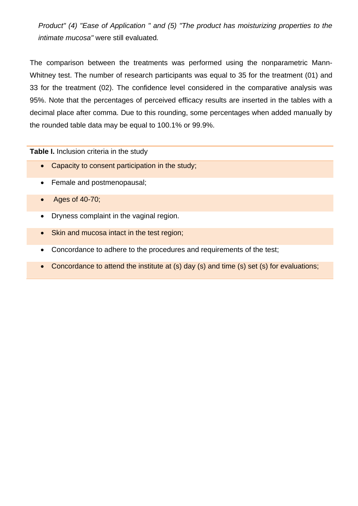*Product" (4) "Ease of Application " and (5) "The product has moisturizing properties to the intimate mucosa"* were still evaluated*.*

The comparison between the treatments was performed using the nonparametric Mann-Whitney test. The number of research participants was equal to 35 for the treatment (01) and 33 for the treatment (02). The confidence level considered in the comparative analysis was 95%. Note that the percentages of perceived efficacy results are inserted in the tables with a decimal place after comma. Due to this rounding, some percentages when added manually by the rounded table data may be equal to 100.1% or 99.9%.

**Table I.** Inclusion criteria in the study

- Capacity to consent participation in the study;
- Female and postmenopausal;
- $\bullet$  Ages of 40-70;
- Dryness complaint in the vaginal region.
- Skin and mucosa intact in the test region;
- Concordance to adhere to the procedures and requirements of the test;
- Concordance to attend the institute at (s) day (s) and time (s) set (s) for evaluations;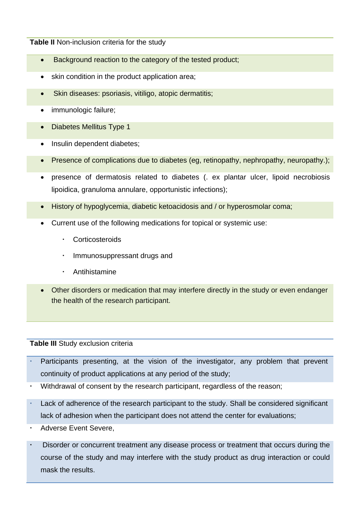**Table II** Non-inclusion criteria for the study

- Background reaction to the category of the tested product;
- skin condition in the product application area:
- Skin diseases: psoriasis, vitiligo, atopic dermatitis;
- immunologic failure;
- Diabetes Mellitus Type 1
- Insulin dependent diabetes:
- Presence of complications due to diabetes (eg, retinopathy, nephropathy, neuropathy.);
- presence of dermatosis related to diabetes (. ex plantar ulcer, lipoid necrobiosis lipoidica, granuloma annulare, opportunistic infections);
- History of hypoglycemia, diabetic ketoacidosis and / or hyperosmolar coma;
- Current use of the following medications for topical or systemic use:
	- **Corticosteroids**
	- Immunosuppressant drugs and
	- Antihistamine
- Other disorders or medication that may interfere directly in the study or even endanger the health of the research participant.

**Table III** Study exclusion criteria

- Participants presenting, at the vision of the investigator, any problem that prevent continuity of product applications at any period of the study;
- Withdrawal of consent by the research participant, regardless of the reason;
- Lack of adherence of the research participant to the study. Shall be considered significant lack of adhesion when the participant does not attend the center for evaluations;
- Adverse Event Severe,
- Disorder or concurrent treatment any disease process or treatment that occurs during the course of the study and may interfere with the study product as drug interaction or could mask the results.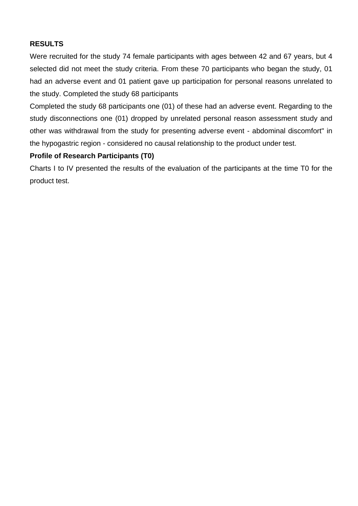# **RESULTS**

Were recruited for the study 74 female participants with ages between 42 and 67 years, but 4 selected did not meet the study criteria. From these 70 participants who began the study, 01 had an adverse event and 01 patient gave up participation for personal reasons unrelated to the study. Completed the study 68 participants

Completed the study 68 participants one (01) of these had an adverse event. Regarding to the study disconnections one (01) dropped by unrelated personal reason assessment study and other was withdrawal from the study for presenting adverse event - abdominal discomfort" in the hypogastric region - considered no causal relationship to the product under test.

# **Profile of Research Participants (T0)**

Charts I to IV presented the results of the evaluation of the participants at the time T0 for the product test.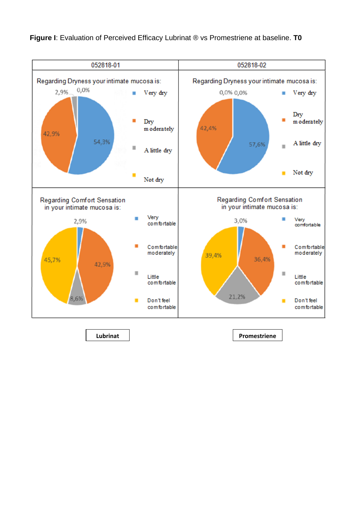

**Figure I**: Evaluation of Perceived Efficacy Lubrinat ® vs Promestriene at baseline. **T0**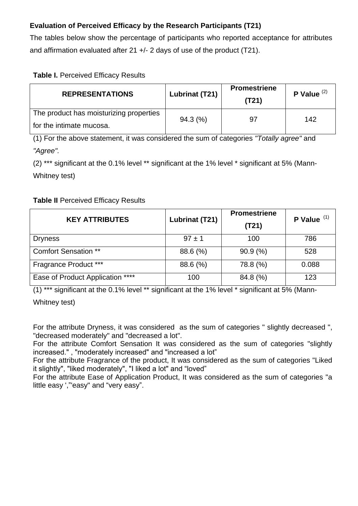# **Evaluation of Perceived Efficacy by the Research Participants (T21)**

The tables below show the percentage of participants who reported acceptance for attributes and affirmation evaluated after 21 +/- 2 days of use of the product (T21).

# **Table I. Perceived Efficacy Results**

| <b>REPRESENTATIONS</b>                  | Lubrinat (T21) | <b>Promestriene</b><br>(T21) | P Value $(2)$ |
|-----------------------------------------|----------------|------------------------------|---------------|
| The product has moisturizing properties | $94.3\ (%)$    | 97                           | 142           |
| for the intimate mucosa.                |                |                              |               |

(1) For the above statement, it was considered the sum of categories *"Totally agree"* and *"Agree".*

(2) \*\*\* significant at the 0.1% level \*\* significant at the 1% level \* significant at 5% (Mann-Whitney test)

# **Table II Perceived Efficacy Results**

| <b>KEY ATTRIBUTES</b>            | Lubrinat (T21) | <b>Promestriene</b><br>(T21) | (1)<br><b>P</b> Value |
|----------------------------------|----------------|------------------------------|-----------------------|
| <b>Dryness</b>                   | $97 \pm 1$     | 100                          | 786                   |
| <b>Comfort Sensation **</b>      | 88.6 (%)       | 90.9(%)                      | 528                   |
| <b>Fragrance Product ***</b>     | 88.6 (%)       | 78.8 (%)                     | 0.088                 |
| Ease of Product Application **** | 100            | 84.8 (%)                     | 123                   |

(1) \*\*\* significant at the 0.1% level \*\* significant at the 1% level \* significant at 5% (Mann-

Whitney test)

For the attribute Dryness, it was considered as the sum of categories " slightly decreased ", "decreased moderately" and "decreased a lot".

For the attribute Comfort Sensation It was considered as the sum of categories "slightly increased." , "moderately increased" and "increased a lot"

For the attribute Fragrance of the product, It was considered as the sum of categories "Liked it slightly", "liked moderately", "I liked a lot" and "loved"

For the attribute Ease of Application Product, It was considered as the sum of categories "a little easy ',"'easy" and "very easy".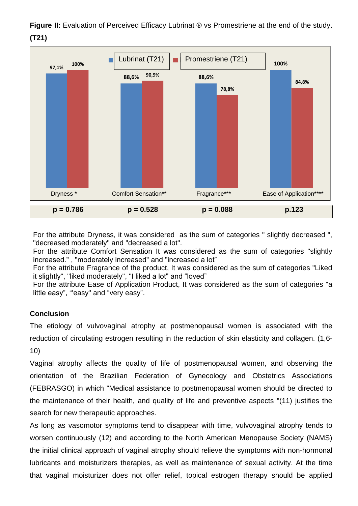**Figure II:** Evaluation of Perceived Efficacy Lubrinat ® vs Promestriene at the end of the study. **(T21)**



For the attribute Dryness, it was considered as the sum of categories " slightly decreased ", "decreased moderately" and "decreased a lot".

For the attribute Comfort Sensation It was considered as the sum of categories "slightly increased." , "moderately increased" and "increased a lot"

For the attribute Fragrance of the product, It was considered as the sum of categories "Liked it slightly", "liked moderately", "I liked a lot" and "loved"

For the attribute Ease of Application Product, It was considered as the sum of categories "a little easy", "'easy" and "very easy".

## **Conclusion**

The etiology of vulvovaginal atrophy at postmenopausal women is associated with the reduction of circulating estrogen resulting in the reduction of skin elasticity and collagen. (1,6- 10)

Vaginal atrophy affects the quality of life of postmenopausal women, and observing the orientation of the Brazilian Federation of Gynecology and Obstetrics Associations (FEBRASGO) in which "Medical assistance to postmenopausal women should be directed to the maintenance of their health, and quality of life and preventive aspects "(11) justifies the search for new therapeutic approaches.

As long as vasomotor symptoms tend to disappear with time, vulvovaginal atrophy tends to worsen continuously (12) and according to the North American Menopause Society (NAMS) the initial clinical approach of vaginal atrophy should relieve the symptoms with non-hormonal lubricants and moisturizers therapies, as well as maintenance of sexual activity. At the time that vaginal moisturizer does not offer relief, topical estrogen therapy should be applied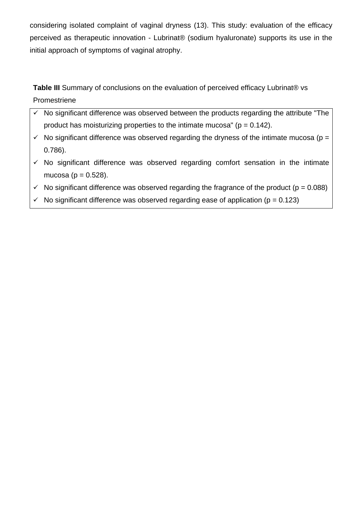considering isolated complaint of vaginal dryness (13). This study: evaluation of the efficacy perceived as therapeutic innovation - Lubrinat® (sodium hyaluronate) supports its use in the initial approach of symptoms of vaginal atrophy.

Table III Summary of conclusions on the evaluation of perceived efficacy Lubrinat<sup>®</sup> vs Promestriene

- $\checkmark$  No significant difference was observed between the products regarding the attribute "The product has moisturizing properties to the intimate mucosa" ( $p = 0.142$ ).
- $\checkmark$  No significant difference was observed regarding the dryness of the intimate mucosa (p = 0.786).
- $\checkmark$  No significant difference was observed regarding comfort sensation in the intimate mucosa ( $p = 0.528$ ).
- $\checkmark$  No significant difference was observed regarding the fragrance of the product ( $p = 0.088$ )
- $\checkmark$  No significant difference was observed regarding ease of application (p = 0.123)